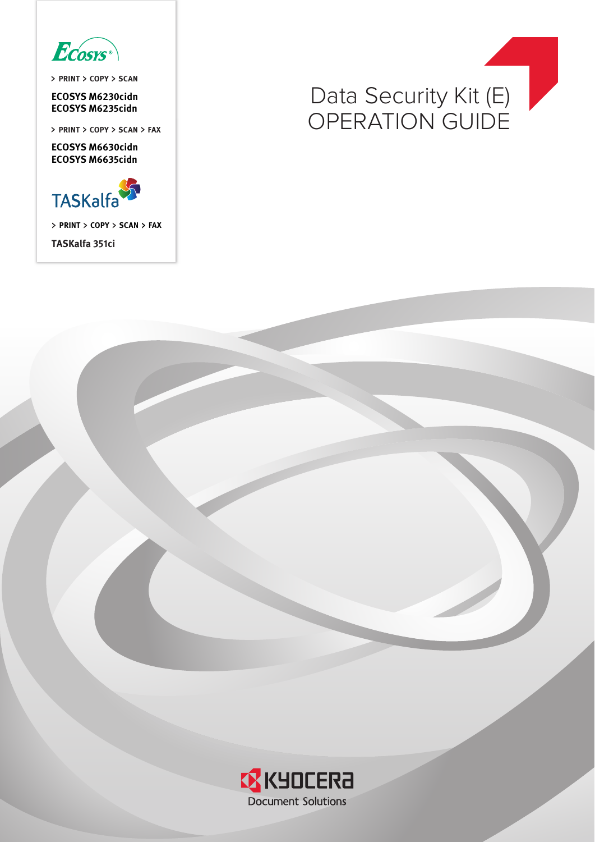

**PRINT COPY SCAN**

**ECOSYS M6230cidn**

**ECOSYS M6630cidn ECOSYS M6635cidn**



**PRINT COPY SCAN FAX**

**TASKalfa 351ci**



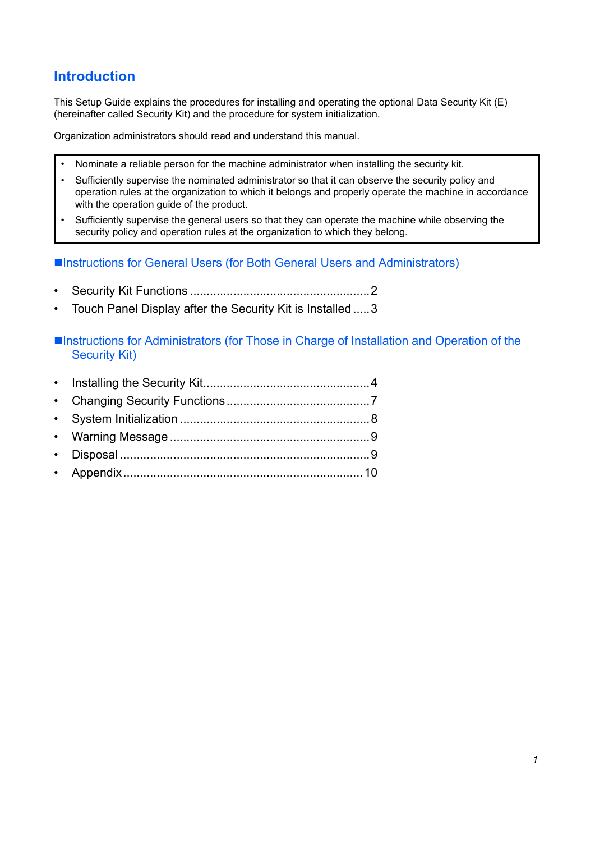## **Introduction**

This Setup Guide explains the procedures for installing and operating the optional Data Security Kit (E) (hereinafter called Security Kit) and the procedure for system initialization.

Organization administrators should read and understand this manual.

- Nominate a reliable person for the machine administrator when installing the security kit.
- Sufficiently supervise the nominated administrator so that it can observe the security policy and operation rules at the organization to which it belongs and properly operate the machine in accordance with the operation guide of the product.
- Sufficiently supervise the general users so that they can operate the machine while observing the security policy and operation rules at the organization to which they belong.

■Instructions for General Users (for Both General Users and Administrators)

- • [Security Kit Functions ......................................................2](#page-2-0)
- • [Touch Panel Display after the Security Kit is Installed .....3](#page-3-0)

■Instructions for Administrators (for Those in Charge of Installation and Operation of the Security Kit)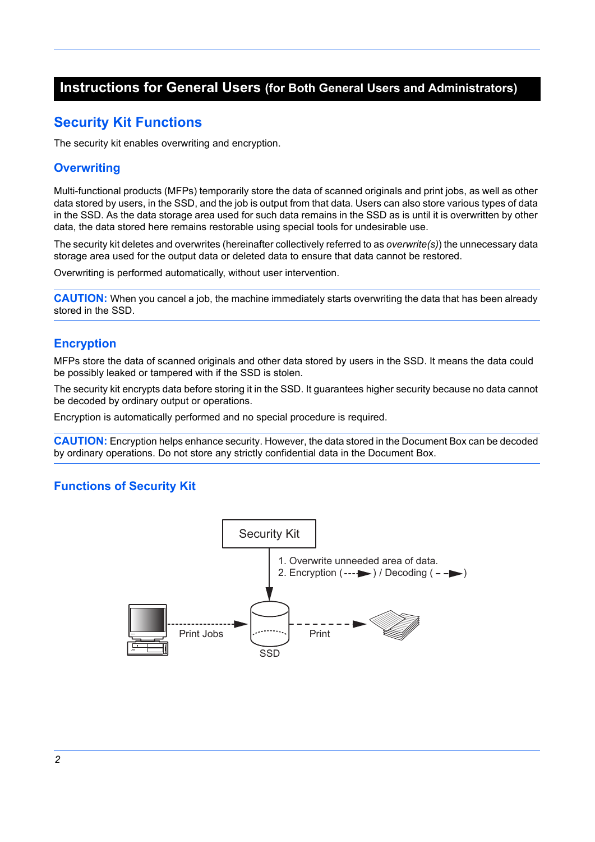### **Instructions for General Users (for Both General Users and Administrators)**

### <span id="page-2-0"></span>**Security Kit Functions**

The security kit enables overwriting and encryption.

#### **Overwriting**

Multi-functional products (MFPs) temporarily store the data of scanned originals and print jobs, as well as other data stored by users, in the SSD, and the job is output from that data. Users can also store various types of data in the SSD. As the data storage area used for such data remains in the SSD as is until it is overwritten by other data, the data stored here remains restorable using special tools for undesirable use.

The security kit deletes and overwrites (hereinafter collectively referred to as *overwrite(s)*) the unnecessary data storage area used for the output data or deleted data to ensure that data cannot be restored.

Overwriting is performed automatically, without user intervention.

**CAUTION:** When you cancel a job, the machine immediately starts overwriting the data that has been already stored in the SSD.

#### **Encryption**

MFPs store the data of scanned originals and other data stored by users in the SSD. It means the data could be possibly leaked or tampered with if the SSD is stolen.

The security kit encrypts data before storing it in the SSD. It guarantees higher security because no data cannot be decoded by ordinary output or operations.

Encryption is automatically performed and no special procedure is required.

**CAUTION:** Encryption helps enhance security. However, the data stored in the Document Box can be decoded by ordinary operations. Do not store any strictly confidential data in the Document Box.

#### **Functions of Security Kit**

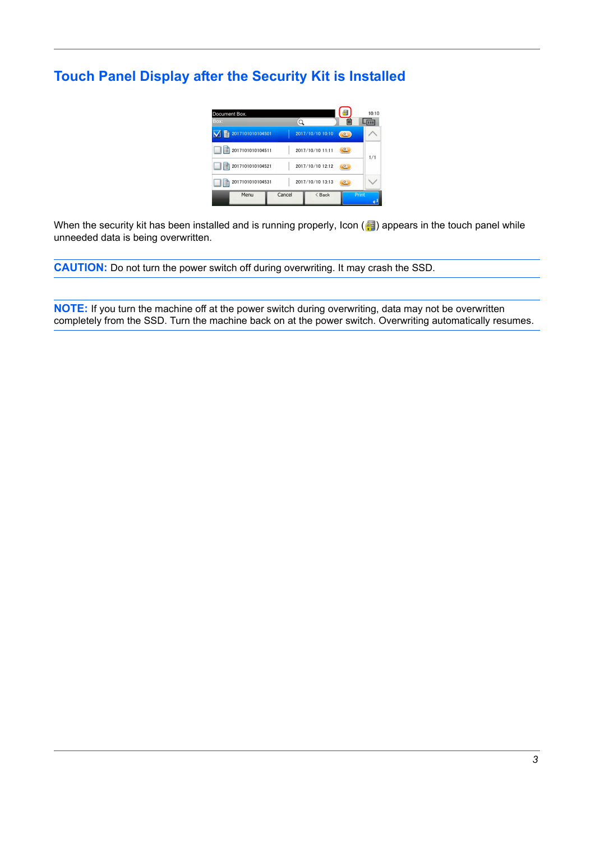# <span id="page-3-0"></span>**Touch Panel Display after the Security Kit is Installed**



When the security kit has been installed and is running properly, Icon ( $\blacksquare$ ) appears in the touch panel while unneeded data is being overwritten.

**CAUTION:** Do not turn the power switch off during overwriting. It may crash the SSD.

**NOTE:** If you turn the machine off at the power switch during overwriting, data may not be overwritten completely from the SSD. Turn the machine back on at the power switch. Overwriting automatically resumes.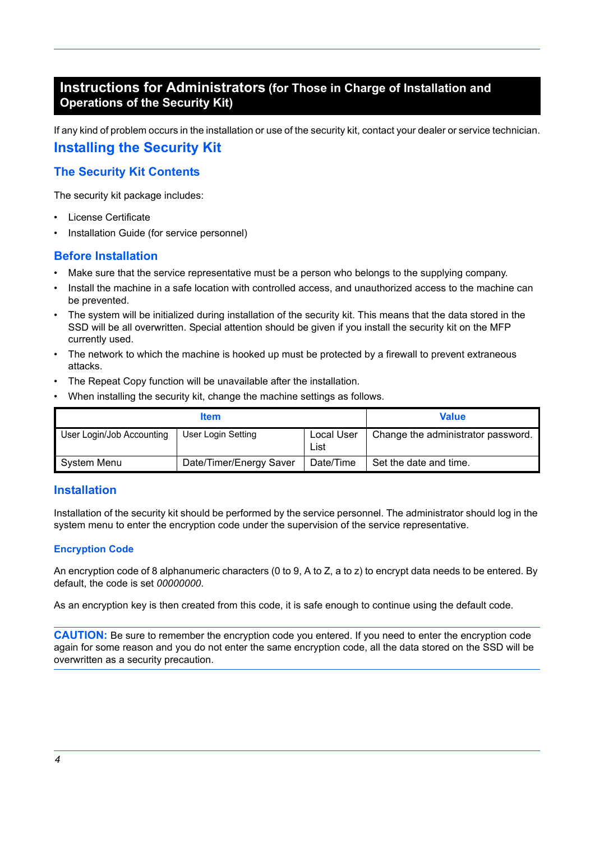### **Instructions for Administrators (for Those in Charge of Installation and Operations of the Security Kit)**

<span id="page-4-0"></span>If any kind of problem occurs in the installation or use of the security kit, contact your dealer or service technician. **Installing the Security Kit**

#### **The Security Kit Contents**

The security kit package includes:

- License Certificate
- Installation Guide (for service personnel)

#### **Before Installation**

- Make sure that the service representative must be a person who belongs to the supplying company.
- Install the machine in a safe location with controlled access, and unauthorized access to the machine can be prevented.
- The system will be initialized during installation of the security kit. This means that the data stored in the SSD will be all overwritten. Special attention should be given if you install the security kit on the MFP currently used.
- The network to which the machine is hooked up must be protected by a firewall to prevent extraneous attacks.
- The Repeat Copy function will be unavailable after the installation.
- When installing the security kit, change the machine settings as follows.

|                           | Value                   |                    |                                    |
|---------------------------|-------------------------|--------------------|------------------------------------|
| User Login/Job Accounting | User Login Setting      | Local User<br>List | Change the administrator password. |
| System Menu               | Date/Timer/Energy Saver | Date/Time          | Set the date and time.             |

#### **Installation**

Installation of the security kit should be performed by the service personnel. The administrator should log in the system menu to enter the encryption code under the supervision of the service representative.

#### **Encryption Code**

An encryption code of 8 alphanumeric characters (0 to 9, A to Z, a to z) to encrypt data needs to be entered. By default, the code is set *00000000*.

As an encryption key is then created from this code, it is safe enough to continue using the default code.

**CAUTION:** Be sure to remember the encryption code you entered. If you need to enter the encryption code again for some reason and you do not enter the same encryption code, all the data stored on the SSD will be overwritten as a security precaution.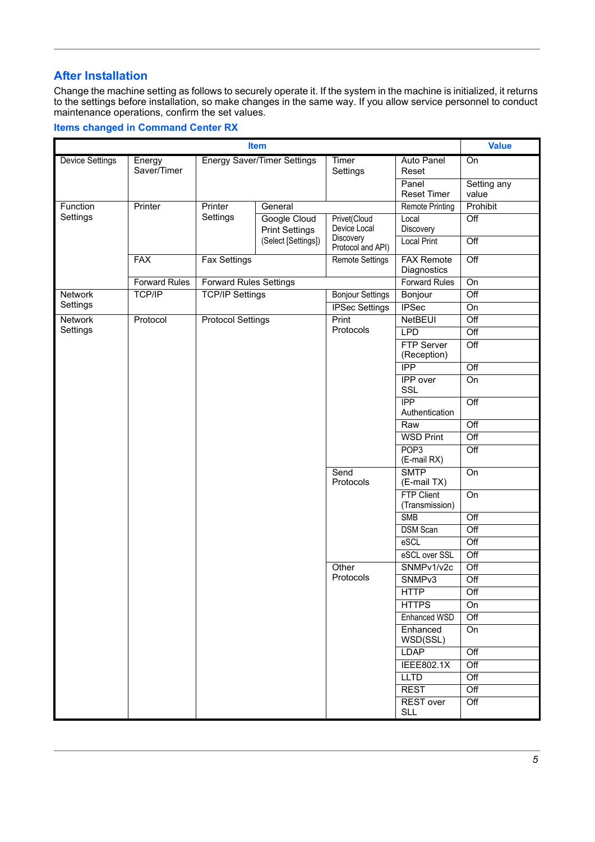#### **After Installation**

Change the machine setting as follows to securely operate it. If the system in the machine is initialized, it returns to the settings before installation, so make changes in the same way. If you allow service personnel to conduct maintenance operations, confirm the set values.

#### **Items changed in Command Center RX**

| <b>Item</b>            |                      |                                             |                                       |                                       |                                     |                  |
|------------------------|----------------------|---------------------------------------------|---------------------------------------|---------------------------------------|-------------------------------------|------------------|
| <b>Device Settings</b> | Energy               | <b>Energy Saver/Timer Settings</b><br>Timer |                                       |                                       | Auto Panel                          | On               |
|                        | Saver/Timer          |                                             |                                       | Settings                              | Reset                               |                  |
|                        |                      |                                             |                                       |                                       | Panel                               | Setting any      |
|                        |                      |                                             |                                       |                                       | Reset Timer                         | value            |
| Function<br>Settings   | Printer              | Printer<br>Settings                         | General                               |                                       | <b>Remote Printing</b>              | Prohibit         |
|                        |                      |                                             | Google Cloud<br><b>Print Settings</b> | Privet(Cloud<br>Device Local          | Local<br>Discovery                  | Off              |
|                        |                      |                                             | (Select [Settings])                   | <b>Discovery</b><br>Protocol and API) | <b>Local Print</b>                  | $\overline{Off}$ |
|                        | <b>FAX</b>           | <b>Fax Settings</b>                         |                                       | <b>Remote Settings</b>                | <b>FAX Remote</b><br>Diagnostics    | $\overline{Off}$ |
|                        | <b>Forward Rules</b> | <b>Forward Rules Settings</b>               |                                       |                                       | Forward Rules                       | On               |
| Network                | TCP/IP               | <b>TCP/IP Settings</b>                      |                                       | <b>Bonjour Settings</b>               | Bonjour                             | Off              |
| Settings               |                      |                                             |                                       | <b>IPSec Settings</b>                 | <b>IPSec</b>                        | On               |
| <b>Network</b>         | Protocol             | <b>Protocol Settings</b>                    |                                       | Print                                 | NetBEUI                             | Off              |
| Settings               |                      |                                             |                                       | Protocols                             | <b>LPD</b>                          | Off              |
|                        |                      |                                             |                                       |                                       | <b>FTP Server</b><br>(Reception)    | $\overline{Off}$ |
|                        |                      |                                             |                                       |                                       | <b>IPP</b>                          | $\overline{Off}$ |
|                        |                      |                                             |                                       |                                       | <b>IPP</b> over<br>SSL              | On               |
|                        |                      |                                             |                                       |                                       | IPP<br>Authentication               | $\overline{Off}$ |
|                        |                      |                                             |                                       |                                       | Raw                                 | Off              |
|                        |                      |                                             |                                       |                                       | <b>WSD Print</b>                    | Off              |
|                        |                      |                                             |                                       |                                       | POP <sub>3</sub><br>(E-mail RX)     | Off              |
|                        |                      |                                             |                                       | Send                                  | <b>SMTP</b>                         | On               |
|                        |                      |                                             |                                       | Protocols                             | (E-mail TX)                         |                  |
|                        |                      |                                             |                                       |                                       | <b>FTP Client</b><br>(Transmission) | On               |
|                        |                      |                                             |                                       |                                       | <b>SMB</b>                          | Off              |
|                        |                      |                                             |                                       |                                       | DSM Scan                            | Off              |
|                        |                      |                                             |                                       |                                       | eSCL                                | $\overline{Off}$ |
|                        |                      |                                             |                                       |                                       | eSCL over SSL                       | $\overline{Off}$ |
|                        |                      |                                             |                                       | Other                                 | SNMPv1/v2c                          | $\overline{Off}$ |
|                        |                      |                                             |                                       | Protocols                             | SNMP <sub>v3</sub>                  | Off              |
|                        |                      |                                             |                                       |                                       | <b>HTTP</b>                         | Off              |
|                        |                      |                                             |                                       |                                       | <b>HTTPS</b>                        | On               |
|                        |                      |                                             |                                       |                                       | Enhanced WSD                        | $\overline{Off}$ |
|                        |                      |                                             |                                       |                                       | Enhanced<br>WSD(SSL)                | On               |
|                        |                      |                                             |                                       |                                       | <b>LDAP</b>                         | Off              |
|                        |                      |                                             |                                       |                                       | IEEE802.1X                          | Off              |
|                        |                      |                                             |                                       |                                       | <b>LLTD</b>                         | $\overline{Off}$ |
|                        |                      |                                             |                                       |                                       | <b>REST</b>                         | Off              |
|                        |                      |                                             |                                       |                                       | <b>REST</b> over<br>SLL             | Off              |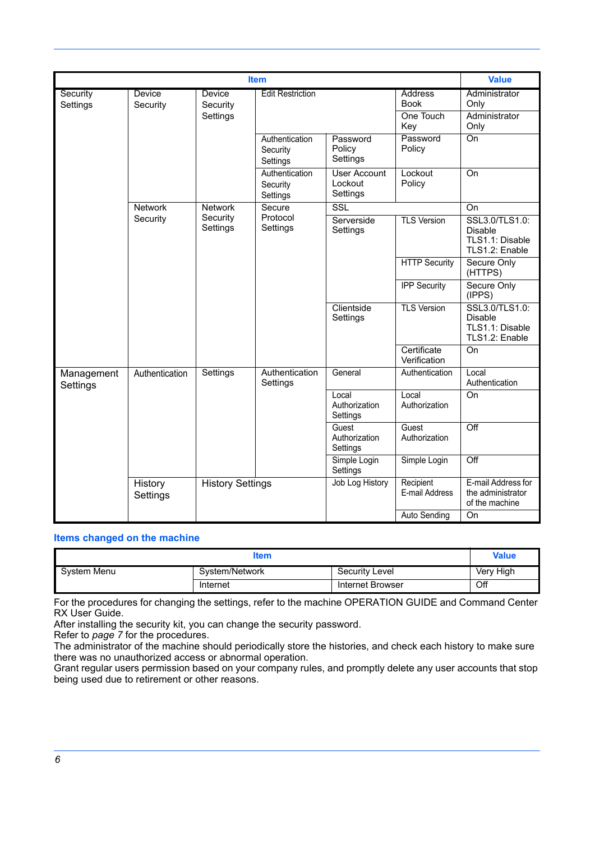|                        | <b>Value</b>              |                      |                                        |                                            |                               |                                                                       |
|------------------------|---------------------------|----------------------|----------------------------------------|--------------------------------------------|-------------------------------|-----------------------------------------------------------------------|
|                        |                           |                      |                                        |                                            |                               |                                                                       |
| Security<br>Settings   | <b>Device</b><br>Security | Device<br>Security   | <b>Edit Restriction</b>                |                                            | <b>Address</b><br><b>Book</b> | Administrator<br>Only                                                 |
|                        |                           | Settings             |                                        |                                            | One Touch<br>Key              | Administrator<br>Only                                                 |
|                        |                           |                      | Authentication<br>Security<br>Settings | Password<br>Policy<br>Settings             | Password<br>Policy            | On                                                                    |
|                        |                           |                      | Authentication<br>Security<br>Settings | <b>User Account</b><br>Lockout<br>Settings | Lockout<br>Policy             | $\overline{On}$                                                       |
|                        | <b>Network</b>            | <b>Network</b>       | Secure                                 | SSL                                        |                               | On                                                                    |
|                        | Security                  | Security<br>Settings | Protocol<br>Settings                   | Serverside<br>Settings                     | <b>TLS Version</b>            | SSL3.0/TLS1.0:<br><b>Disable</b><br>TLS1.1: Disable<br>TLS1.2: Enable |
|                        |                           |                      |                                        |                                            | <b>HTTP Security</b>          | Secure Only<br>(HTTPS)                                                |
|                        |                           |                      |                                        |                                            | <b>IPP Security</b>           | Secure Only<br>(IPPS)                                                 |
|                        |                           |                      |                                        | Clientside<br>Settings                     | <b>TLS Version</b>            | SSL3.0/TLS1.0:<br>Disable<br>TLS1.1: Disable<br>TLS1.2: Enable        |
|                        |                           |                      |                                        |                                            | Certificate<br>Verification   | $\overline{On}$                                                       |
| Management<br>Settings | Authentication            | Settings             | Authentication<br>Settings             | General                                    | Authentication                | Local<br>Authentication                                               |
|                        |                           |                      |                                        | Local<br>Authorization<br>Settings         | Local<br>Authorization        | $\overline{On}$                                                       |
|                        |                           |                      | Guest<br>Authorization<br>Settings     | Guest<br>Authorization                     | Off                           |                                                                       |
|                        |                           |                      |                                        | Simple Login<br>Settings                   | Simple Login                  | Off                                                                   |
|                        | History<br>Settings       |                      | <b>History Settings</b>                |                                            | Recipient<br>E-mail Address   | E-mail Address for<br>the administrator<br>of the machine             |
|                        |                           |                      |                                        |                                            | <b>Auto Sending</b>           | On                                                                    |

#### **Items changed on the machine**

| ltem        |                |                  |           |  |  |
|-------------|----------------|------------------|-----------|--|--|
| System Menu | System/Network | Security Level   | Very High |  |  |
|             | Internet       | Internet Browser | Off       |  |  |

For the procedures for changing the settings, refer to the machine OPERATION GUIDE and Command Center RX User Guide.

After installing the security kit, you can change the security password.

Refer to *[page 7](#page-7-1)* for the procedures.

The administrator of the machine should periodically store the histories, and check each history to make sure there was no unauthorized access or abnormal operation.

Grant regular users permission based on your company rules, and promptly delete any user accounts that stop being used due to retirement or other reasons.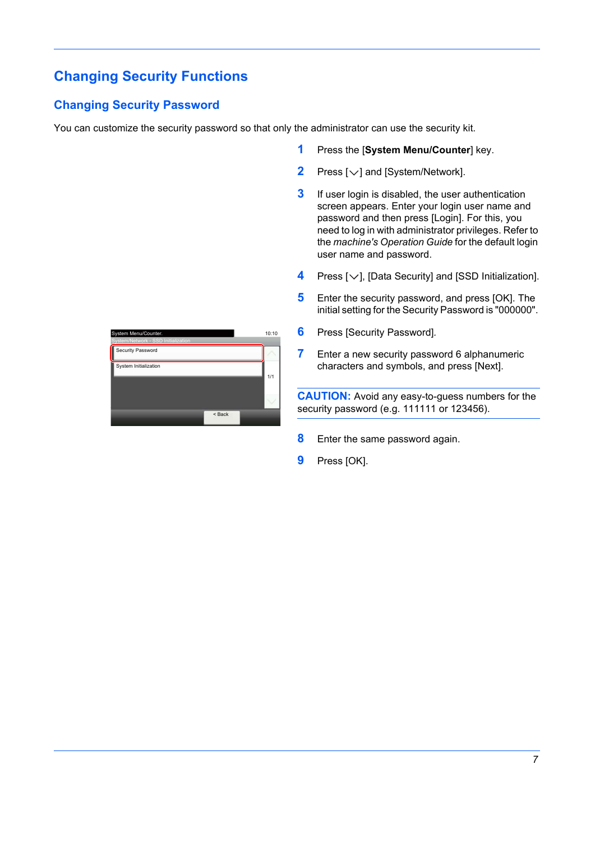## <span id="page-7-0"></span>**Changing Security Functions**

### <span id="page-7-1"></span>**Changing Security Password**

You can customize the security password so that only the administrator can use the security kit.

- **1** Press the [**System Menu/Counter**] key.
- **2** Press  $[\vee]$  and [System/Network].
- **3** If user login is disabled, the user authentication screen appears. Enter your login user name and password and then press [Login]. For this, you need to log in with administrator privileges. Refer to the *machine's Operation Guide* for the default login user name and password.
- **4** Press  $[\vee]$ , [Data Security] and [SSD Initialization].
- **5** Enter the security password, and press [OK]. The initial setting for the Security Password is "000000".
- **6** Press [Security Password]*.*
- **7** Enter a new security password 6 alphanumeric characters and symbols, and press [Next].

**CAUTION:** Avoid any easy-to-guess numbers for the security password (e.g. 111111 or 123456).

- **8** Enter the same password again.
- **9** Press [OK].

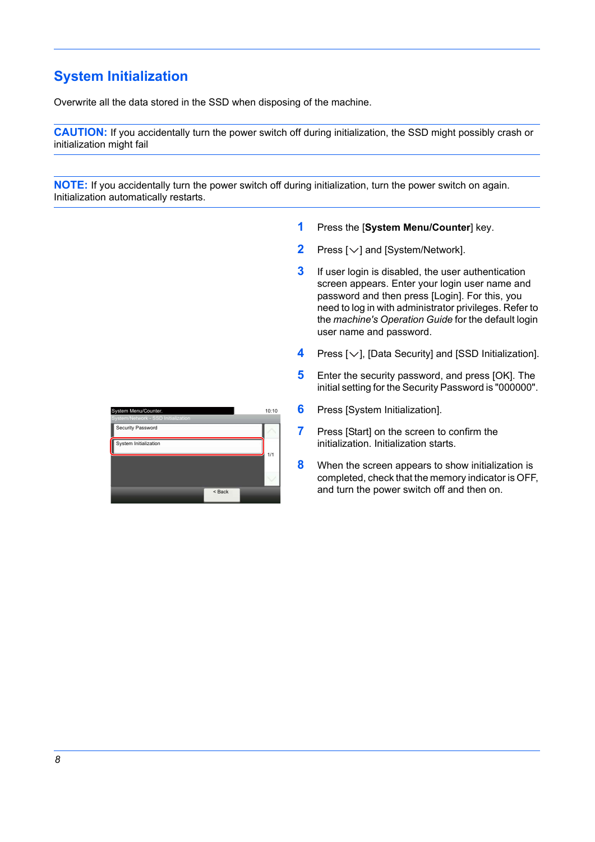# <span id="page-8-0"></span>**System Initialization**

Overwrite all the data stored in the SSD when disposing of the machine.

**CAUTION:** If you accidentally turn the power switch off during initialization, the SSD might possibly crash or initialization might fail

**NOTE:** If you accidentally turn the power switch off during initialization, turn the power switch on again. Initialization automatically restarts.

- **1** Press the [**System Menu/Counter**] key.
- **2** Press  $[\vee]$  and [System/Network].
- **3** If user login is disabled, the user authentication screen appears. Enter your login user name and password and then press [Login]. For this, you need to log in with administrator privileges. Refer to the *machine's Operation Guide* for the default login user name and password.
- **4** Press [ $\vee$ ], [Data Security] and [SSD Initialization].
- **5** Enter the security password, and press [OK]. The initial setting for the Security Password is "000000".
- **6** Press [System Initialization].
- **7** Press [Start] on the screen to confirm the initialization. Initialization starts.
- **8** When the screen appears to show initialization is completed, check that the memory indicator is OFF, and turn the power switch off and then on.

| System Menu/Counter.                |        | 10:10 |
|-------------------------------------|--------|-------|
| System/Network - SSD Initialization |        |       |
| Security Password                   |        |       |
| System Initialization               |        | 1/1   |
|                                     |        |       |
|                                     |        |       |
|                                     | < Back |       |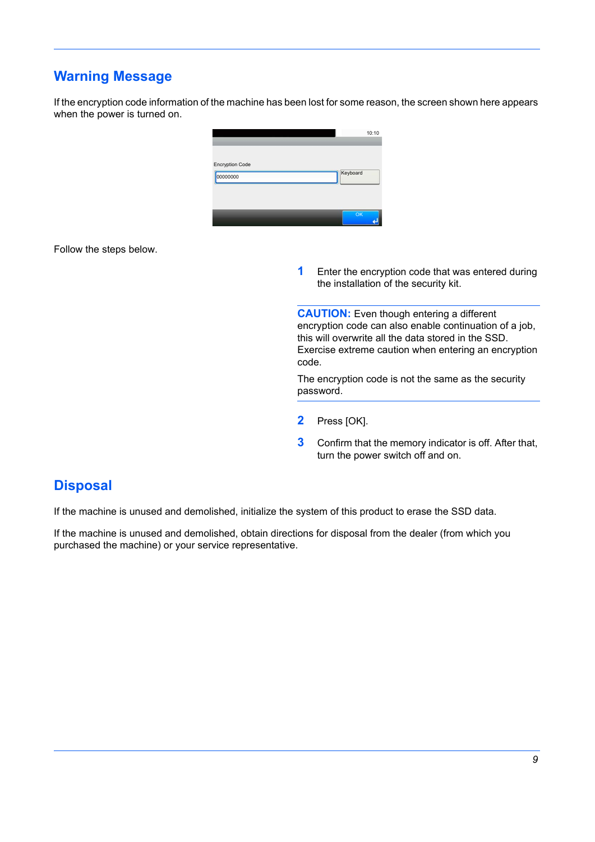## <span id="page-9-0"></span>**Warning Message**

If the encryption code information of the machine has been lost for some reason, the screen shown here appears when the power is turned on.



Follow the steps below.

**1** Enter the encryption code that was entered during the installation of the security kit.

**CAUTION:** Even though entering a different encryption code can also enable continuation of a job, this will overwrite all the data stored in the SSD. Exercise extreme caution when entering an encryption code.

The encryption code is not the same as the security password.

- **2** Press [OK].
- **3** Confirm that the memory indicator is off. After that, turn the power switch off and on.

## <span id="page-9-1"></span>**Disposal**

If the machine is unused and demolished, initialize the system of this product to erase the SSD data.

If the machine is unused and demolished, obtain directions for disposal from the dealer (from which you purchased the machine) or your service representative.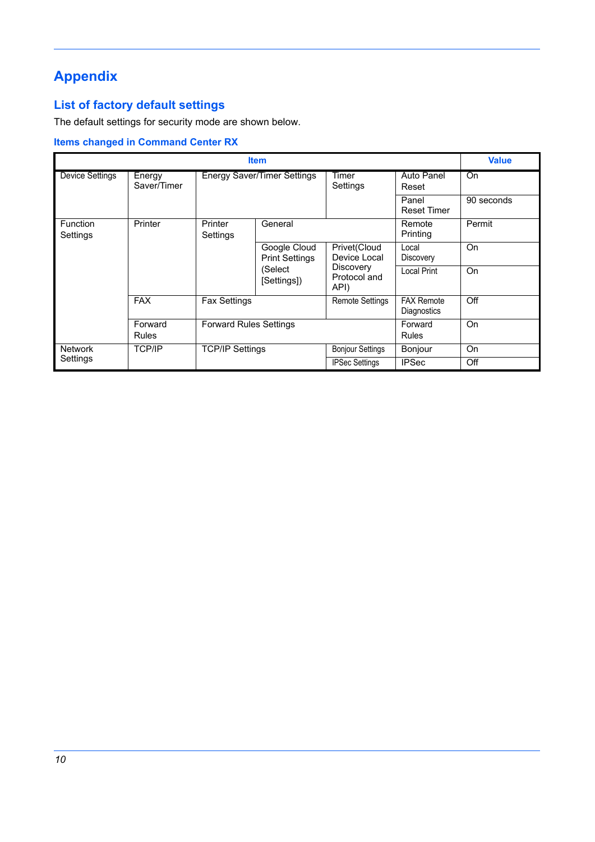# <span id="page-10-0"></span>**Appendix**

## **List of factory default settings**

The default settings for security mode are shown below.

### **Items changed in Command Center RX**

|                             | <b>Value</b>          |                                    |                                       |                              |                                  |            |
|-----------------------------|-----------------------|------------------------------------|---------------------------------------|------------------------------|----------------------------------|------------|
| <b>Device Settings</b>      | Energy<br>Saver/Timer | <b>Energy Saver/Timer Settings</b> |                                       | Timer<br>Settings            | Auto Panel<br>Reset              | On         |
|                             |                       |                                    |                                       |                              | Panel<br><b>Reset Timer</b>      | 90 seconds |
| <b>Function</b><br>Settings | Printer               | Printer<br>Settings                | General                               |                              | Remote<br>Printing               | Permit     |
|                             |                       |                                    | Google Cloud<br><b>Print Settings</b> | Privet(Cloud<br>Device Local | Local<br><b>Discovery</b>        | On         |
|                             |                       | (Select<br>[Settings])             | Discovery<br>Protocol and<br>API)     | Local Print                  | On                               |            |
|                             | <b>FAX</b>            | <b>Fax Settings</b>                |                                       | <b>Remote Settings</b>       | <b>FAX Remote</b><br>Diagnostics | Off        |
|                             | Forward<br>Rules      | <b>Forward Rules Settings</b>      |                                       |                              | Forward<br><b>Rules</b>          | On         |
| <b>Network</b>              | <b>TCP/IP</b>         | <b>TCP/IP Settings</b>             |                                       | <b>Bonjour Settings</b>      | Bonjour                          | On         |
| Settings                    |                       |                                    |                                       | <b>IPSec Settings</b>        | <b>IPSec</b>                     | Off        |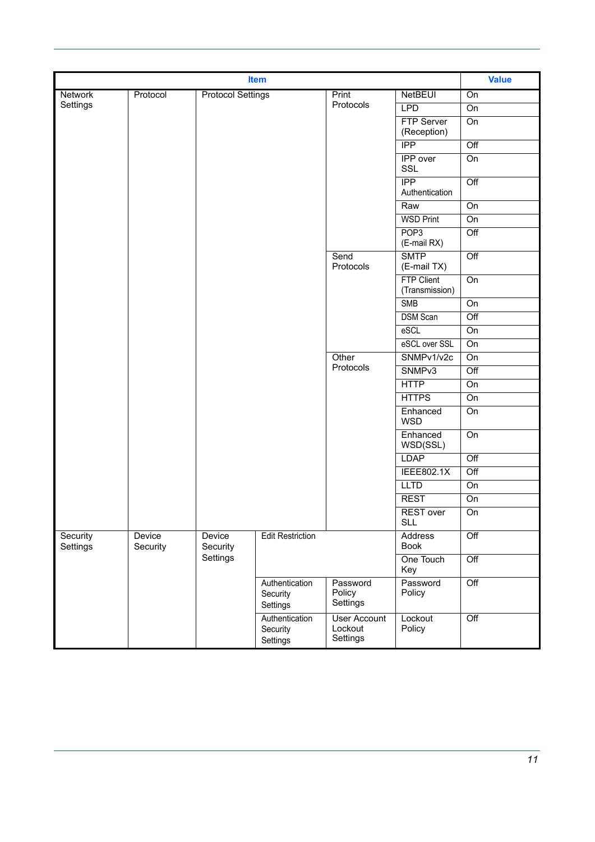|                      | <b>Value</b>       |                    |                                        |                                            |                                     |                  |
|----------------------|--------------------|--------------------|----------------------------------------|--------------------------------------------|-------------------------------------|------------------|
| Network              | On                 |                    |                                        |                                            |                                     |                  |
| Settings             |                    |                    |                                        | Protocols                                  | <b>LPD</b>                          | On               |
|                      |                    |                    |                                        |                                            | <b>FTP Server</b><br>(Reception)    | On               |
|                      |                    |                    |                                        |                                            | <b>IPP</b>                          | $\overline{Off}$ |
|                      |                    |                    |                                        |                                            | <b>IPP</b> over<br>SSL              | On               |
|                      |                    |                    |                                        |                                            | <b>IPP</b><br>Authentication        | $\overline{Off}$ |
|                      |                    |                    |                                        |                                            | Raw                                 | On               |
|                      |                    |                    |                                        |                                            | <b>WSD Print</b>                    | On               |
|                      |                    |                    |                                        |                                            | POP <sub>3</sub><br>(E-mail RX)     | $\overline{Off}$ |
|                      |                    |                    |                                        | Send<br>Protocols                          | <b>SMTP</b><br>(E-mail TX)          | Off              |
|                      |                    |                    |                                        |                                            | <b>FTP Client</b><br>(Transmission) | $\overline{On}$  |
|                      |                    |                    |                                        |                                            | <b>SMB</b>                          | On               |
|                      |                    |                    |                                        |                                            | <b>DSM Scan</b>                     | $\overline{Off}$ |
|                      |                    |                    |                                        |                                            | eSCL                                | On               |
|                      |                    |                    |                                        |                                            | eSCL over SSL                       | On               |
|                      |                    |                    |                                        | Other                                      | SNMPv1/v2c                          | $\overline{On}$  |
|                      |                    |                    |                                        | Protocols                                  | SNMP <sub>v3</sub>                  | $\overline{Off}$ |
|                      |                    |                    |                                        |                                            | <b>HTTP</b>                         | On               |
|                      |                    |                    |                                        |                                            | <b>HTTPS</b>                        | On               |
|                      |                    |                    |                                        |                                            | Enhanced<br><b>WSD</b>              | On               |
|                      |                    |                    |                                        |                                            | Enhanced<br>WSD(SSL)                | On               |
|                      |                    |                    |                                        |                                            | <b>LDAP</b>                         | $\overline{Off}$ |
|                      |                    |                    |                                        |                                            | <b>IEEE802.1X</b>                   | Off              |
|                      |                    |                    |                                        |                                            | <b>LLTD</b>                         | On               |
|                      |                    |                    |                                        |                                            | <b>REST</b>                         | On               |
|                      |                    |                    |                                        |                                            | REST over<br><b>SLL</b>             | $\overline{On}$  |
| Security<br>Settings | Device<br>Security | Device<br>Security | <b>Edit Restriction</b>                |                                            | <b>Address</b><br><b>Book</b>       | $\overline{Off}$ |
|                      |                    | Settings           |                                        |                                            | One Touch<br>Key                    | $\overline{Off}$ |
|                      |                    |                    | Authentication<br>Security<br>Settings | Password<br>Policy<br>Settings             | Password<br>Policy                  | Off              |
|                      |                    |                    | Authentication<br>Security<br>Settings | <b>User Account</b><br>Lockout<br>Settings | Lockout<br>Policy                   | $\overline{Off}$ |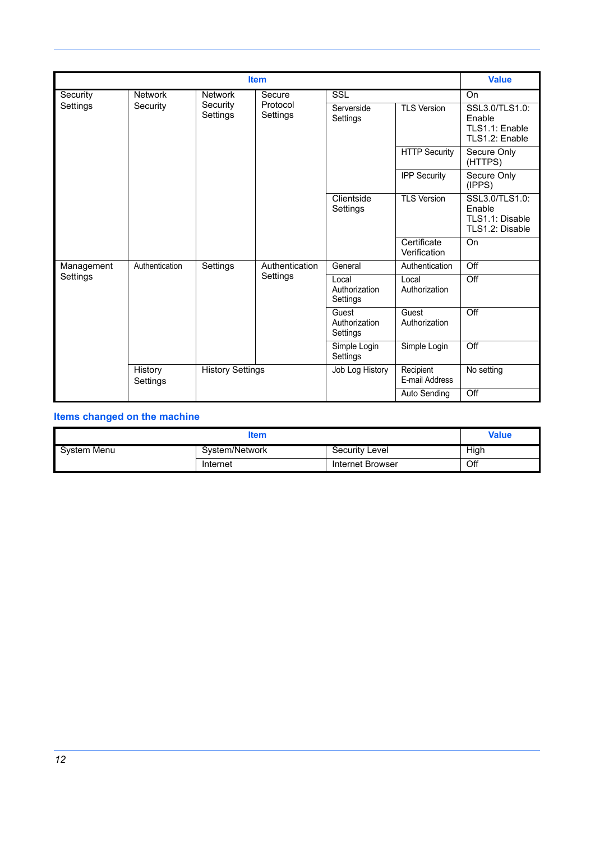|            | <b>Value</b>                                   |                        |                      |                                                                |                             |                                                              |
|------------|------------------------------------------------|------------------------|----------------------|----------------------------------------------------------------|-----------------------------|--------------------------------------------------------------|
| Security   | <b>Network</b>                                 | <b>Network</b>         | Secure               | <b>SSL</b>                                                     |                             | On                                                           |
| Settings   | Security                                       | Security<br>Settings   | Protocol<br>Settings | Serverside<br>Settings                                         | <b>TLS Version</b>          | SSL3.0/TLS1.0:<br>Enable<br>TLS1.1: Enable<br>TLS1.2: Enable |
|            |                                                |                        |                      |                                                                | <b>HTTP Security</b>        | Secure Only<br>(HTTPS)                                       |
|            |                                                |                        |                      |                                                                | <b>IPP Security</b>         | Secure Only<br>(IPPS)                                        |
|            |                                                | Clientside<br>Settings | <b>TLS Version</b>   | SSL3.0/TLS1.0:<br>Enable<br>TLS1.1: Disable<br>TLS1.2: Disable |                             |                                                              |
|            |                                                |                        |                      |                                                                | Certificate<br>Verification | On                                                           |
| Management | Authentication                                 | Settings               | Authentication       | General                                                        | Authentication              | $\overline{Off}$                                             |
| Settings   |                                                |                        | Settings             | Local<br>Authorization<br>Settings                             | Local<br>Authorization      | Off                                                          |
|            |                                                |                        |                      | Guest<br>Authorization<br>Settings                             | Guest<br>Authorization      | $\overline{Off}$                                             |
|            |                                                |                        |                      | Simple Login<br>Settings                                       | Simple Login                | Off                                                          |
|            | History<br><b>History Settings</b><br>Settings |                        | Job Log History      | Recipient<br>E-mail Address                                    | No setting                  |                                                              |
|            |                                                |                        |                      |                                                                | Auto Sending                | $\overline{Off}$                                             |

# **Items changed on the machine**

|             | Value          |                  |      |
|-------------|----------------|------------------|------|
| System Menu | System/Network | Security Level   | High |
|             | Internet       | Internet Browser | Off  |